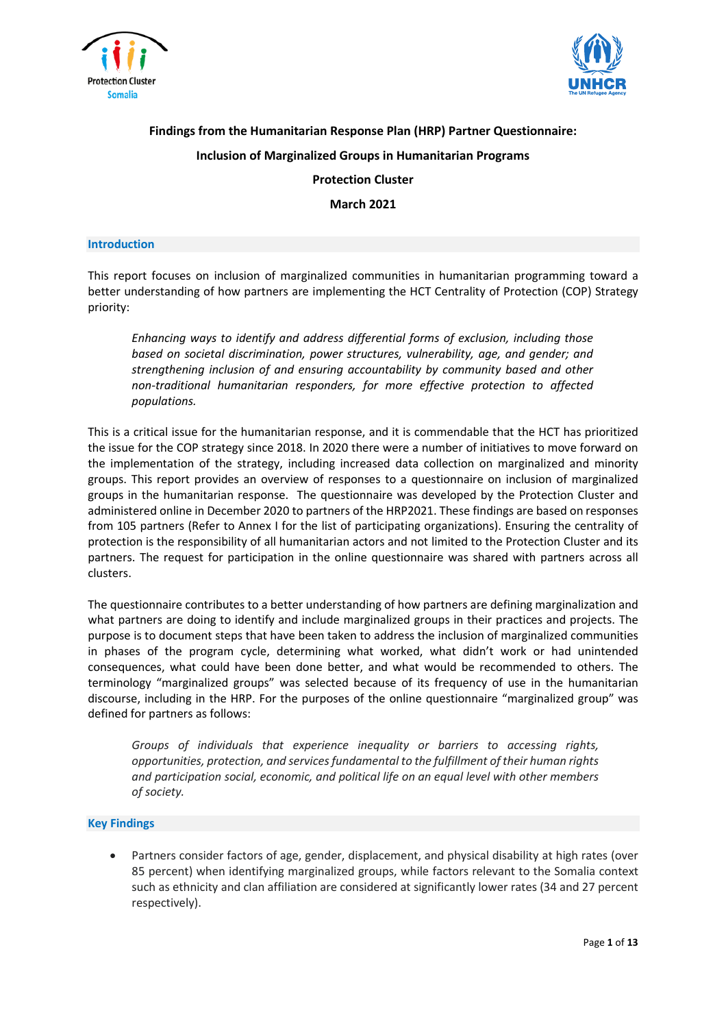



# **Findings from the Humanitarian Response Plan (HRP) Partner Questionnaire: Inclusion of Marginalized Groups in Humanitarian Programs Protection Cluster**

**March 2021**

#### **Introduction**

This report focuses on inclusion of marginalized communities in humanitarian programming toward a better understanding of how partners are implementing the HCT Centrality of Protection (COP) Strategy priority:

*Enhancing ways to identify and address differential forms of exclusion, including those based on societal discrimination, power structures, vulnerability, age, and gender; and strengthening inclusion of and ensuring accountability by community based and other non-traditional humanitarian responders, for more effective protection to affected populations.*

This is a critical issue for the humanitarian response, and it is commendable that the HCT has prioritized the issue for the COP strategy since 2018. In 2020 there were a number of initiatives to move forward on the implementation of the strategy, including increased data collection on marginalized and minority groups. This report provides an overview of responses to a questionnaire on inclusion of marginalized groups in the humanitarian response. The questionnaire was developed by the Protection Cluster and administered online in December 2020 to partners of the HRP2021. These findings are based on responses from 105 partners (Refer to Annex I for the list of participating organizations). Ensuring the centrality of protection is the responsibility of all humanitarian actors and not limited to the Protection Cluster and its partners. The request for participation in the online questionnaire was shared with partners across all clusters.

The questionnaire contributes to a better understanding of how partners are defining marginalization and what partners are doing to identify and include marginalized groups in their practices and projects. The purpose is to document steps that have been taken to address the inclusion of marginalized communities in phases of the program cycle, determining what worked, what didn't work or had unintended consequences, what could have been done better, and what would be recommended to others. The terminology "marginalized groups" was selected because of its frequency of use in the humanitarian discourse, including in the HRP. For the purposes of the online questionnaire "marginalized group" was defined for partners as follows:

*Groups of individuals that experience inequality or barriers to accessing rights, opportunities, protection, and servicesfundamental to the fulfillment of their human rights and participation social, economic, and political life on an equal level with other members of society.*

#### **Key Findings**

• Partners consider factors of age, gender, displacement, and physical disability at high rates (over 85 percent) when identifying marginalized groups, while factors relevant to the Somalia context such as ethnicity and clan affiliation are considered at significantly lower rates (34 and 27 percent respectively).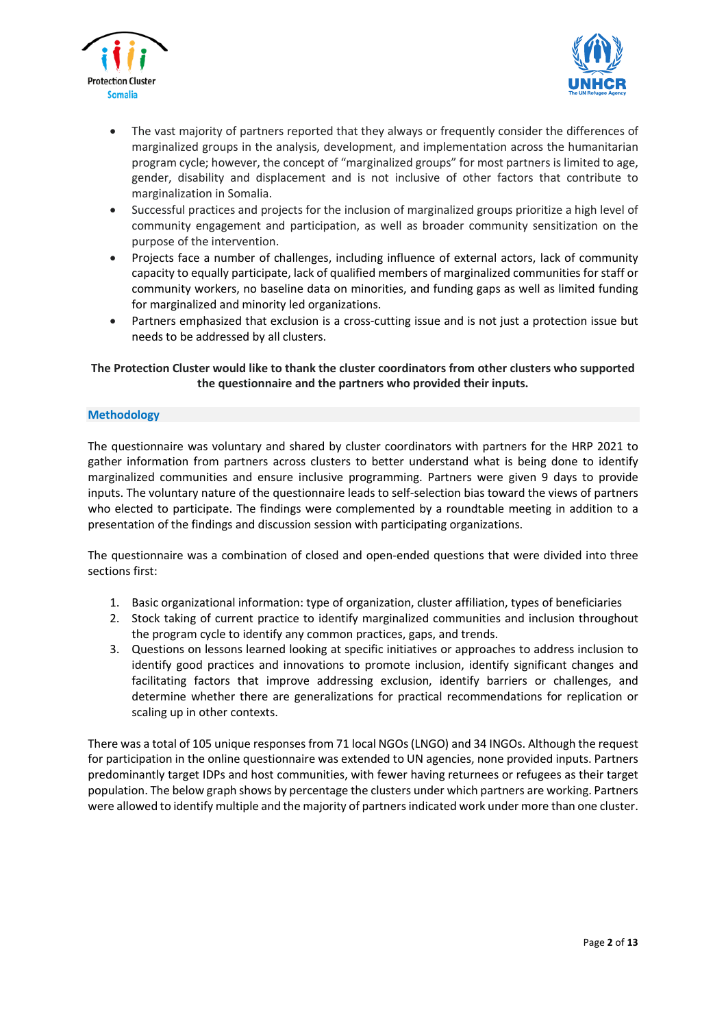



- The vast majority of partners reported that they always or frequently consider the differences of marginalized groups in the analysis, development, and implementation across the humanitarian program cycle; however, the concept of "marginalized groups" for most partners is limited to age, gender, disability and displacement and is not inclusive of other factors that contribute to marginalization in Somalia.
- Successful practices and projects for the inclusion of marginalized groups prioritize a high level of community engagement and participation, as well as broader community sensitization on the purpose of the intervention.
- Projects face a number of challenges, including influence of external actors, lack of community capacity to equally participate, lack of qualified members of marginalized communities for staff or community workers, no baseline data on minorities, and funding gaps as well as limited funding for marginalized and minority led organizations.
- Partners emphasized that exclusion is a cross-cutting issue and is not just a protection issue but needs to be addressed by all clusters.

# **The Protection Cluster would like to thank the cluster coordinators from other clusters who supported the questionnaire and the partners who provided their inputs.**

## **Methodology**

The questionnaire was voluntary and shared by cluster coordinators with partners for the HRP 2021 to gather information from partners across clusters to better understand what is being done to identify marginalized communities and ensure inclusive programming. Partners were given 9 days to provide inputs. The voluntary nature of the questionnaire leads to self-selection bias toward the views of partners who elected to participate. The findings were complemented by a roundtable meeting in addition to a presentation of the findings and discussion session with participating organizations.

The questionnaire was a combination of closed and open-ended questions that were divided into three sections first:

- 1. Basic organizational information: type of organization, cluster affiliation, types of beneficiaries
- 2. Stock taking of current practice to identify marginalized communities and inclusion throughout the program cycle to identify any common practices, gaps, and trends.
- 3. Questions on lessons learned looking at specific initiatives or approaches to address inclusion to identify good practices and innovations to promote inclusion, identify significant changes and facilitating factors that improve addressing exclusion, identify barriers or challenges, and determine whether there are generalizations for practical recommendations for replication or scaling up in other contexts.

There was a total of 105 unique responses from 71 local NGOs(LNGO) and 34 INGOs. Although the request for participation in the online questionnaire was extended to UN agencies, none provided inputs. Partners predominantly target IDPs and host communities, with fewer having returnees or refugees as their target population. The below graph shows by percentage the clusters under which partners are working. Partners were allowed to identify multiple and the majority of partnersindicated work under more than one cluster.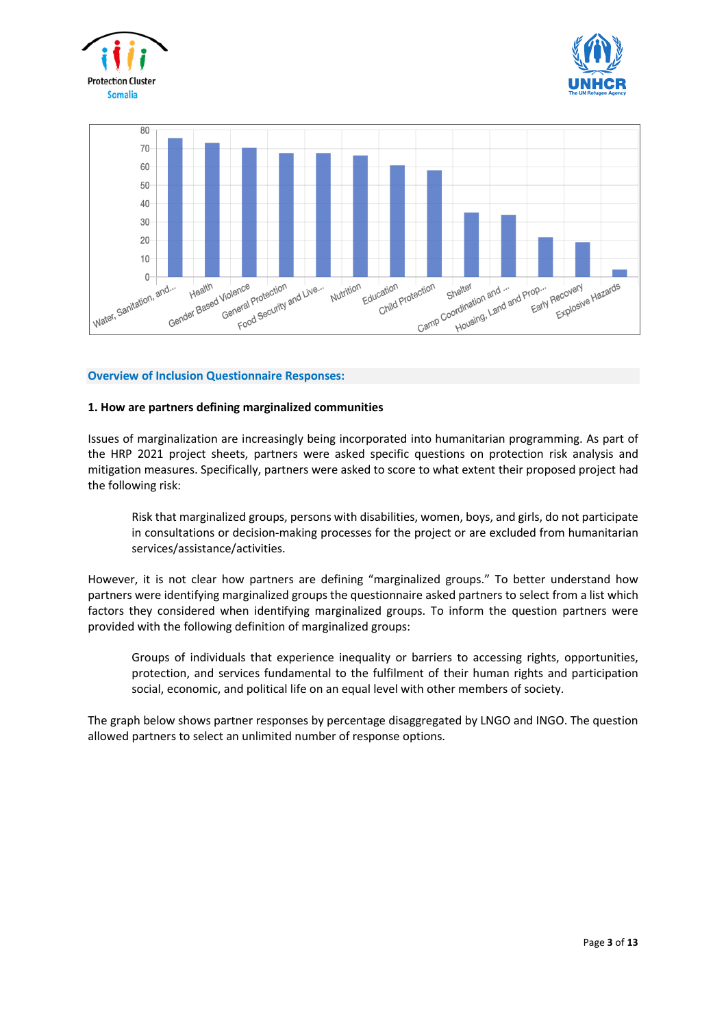





## **Overview of Inclusion Questionnaire Responses:**

## **1. How are partners defining marginalized communities**

Issues of marginalization are increasingly being incorporated into humanitarian programming. As part of the HRP 2021 project sheets, partners were asked specific questions on protection risk analysis and mitigation measures. Specifically, partners were asked to score to what extent their proposed project had the following risk:

Risk that marginalized groups, persons with disabilities, women, boys, and girls, do not participate in consultations or decision-making processes for the project or are excluded from humanitarian services/assistance/activities.

However, it is not clear how partners are defining "marginalized groups." To better understand how partners were identifying marginalized groups the questionnaire asked partners to select from a list which factors they considered when identifying marginalized groups. To inform the question partners were provided with the following definition of marginalized groups:

Groups of individuals that experience inequality or barriers to accessing rights, opportunities, protection, and services fundamental to the fulfilment of their human rights and participation social, economic, and political life on an equal level with other members of society.

The graph below shows partner responses by percentage disaggregated by LNGO and INGO. The question allowed partners to select an unlimited number of response options.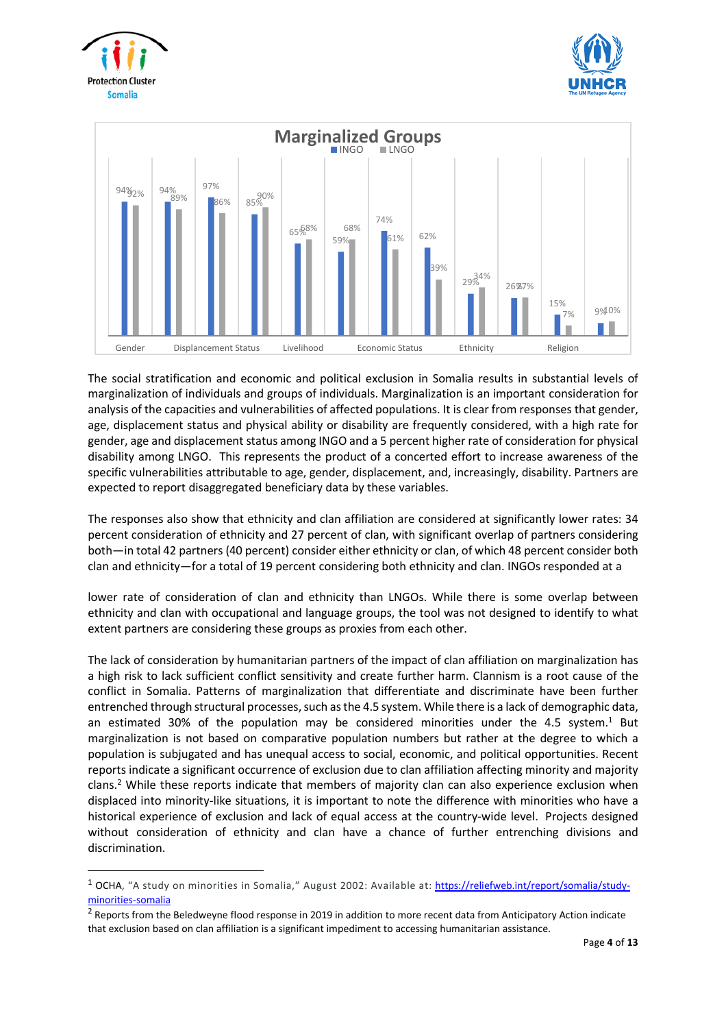





The social stratification and economic and political exclusion in Somalia results in substantial levels of marginalization of individuals and groups of individuals. Marginalization is an important consideration for analysis of the capacities and vulnerabilities of affected populations. It is clear from responses that gender, age, displacement status and physical ability or disability are frequently considered, with a high rate for gender, age and displacement status among INGO and a 5 percent higher rate of consideration for physical disability among LNGO. This represents the product of a concerted effort to increase awareness of the specific vulnerabilities attributable to age, gender, displacement, and, increasingly, disability. Partners are expected to report disaggregated beneficiary data by these variables.

The responses also show that ethnicity and clan affiliation are considered at significantly lower rates: 34 percent consideration of ethnicity and 27 percent of clan, with significant overlap of partners considering both—in total 42 partners (40 percent) consider either ethnicity or clan, of which 48 percent consider both clan and ethnicity—for a total of 19 percent considering both ethnicity and clan. INGOs responded at a

lower rate of consideration of clan and ethnicity than LNGOs. While there is some overlap between ethnicity and clan with occupational and language groups, the tool was not designed to identify to what extent partners are considering these groups as proxies from each other.

The lack of consideration by humanitarian partners of the impact of clan affiliation on marginalization has a high risk to lack sufficient conflict sensitivity and create further harm. Clannism is a root cause of the conflict in Somalia. Patterns of marginalization that differentiate and discriminate have been further entrenched through structural processes, such as the 4.5 system. While there is a lack of demographic data, an estimated 30% of the population may be considered minorities under the 4.5 system.<sup>1</sup> But marginalization is not based on comparative population numbers but rather at the degree to which a population is subjugated and has unequal access to social, economic, and political opportunities. Recent reports indicate a significant occurrence of exclusion due to clan affiliation affecting minority and majority clans.<sup>2</sup> While these reports indicate that members of majority clan can also experience exclusion when displaced into minority-like situations, it is important to note the difference with minorities who have a historical experience of exclusion and lack of equal access at the country-wide level. Projects designed without consideration of ethnicity and clan have a chance of further entrenching divisions and discrimination.

<sup>&</sup>lt;sup>1</sup> OCHA, "A study on minorities in Somalia," August 2002: Available at: [https://reliefweb.int/report/somalia/study](https://reliefweb.int/report/somalia/study-minorities-somalia)[minorities-somalia](https://reliefweb.int/report/somalia/study-minorities-somalia)

<sup>&</sup>lt;sup>2</sup> Reports from the Beledweyne flood response in 2019 in addition to more recent data from Anticipatory Action indicate that exclusion based on clan affiliation is a significant impediment to accessing humanitarian assistance.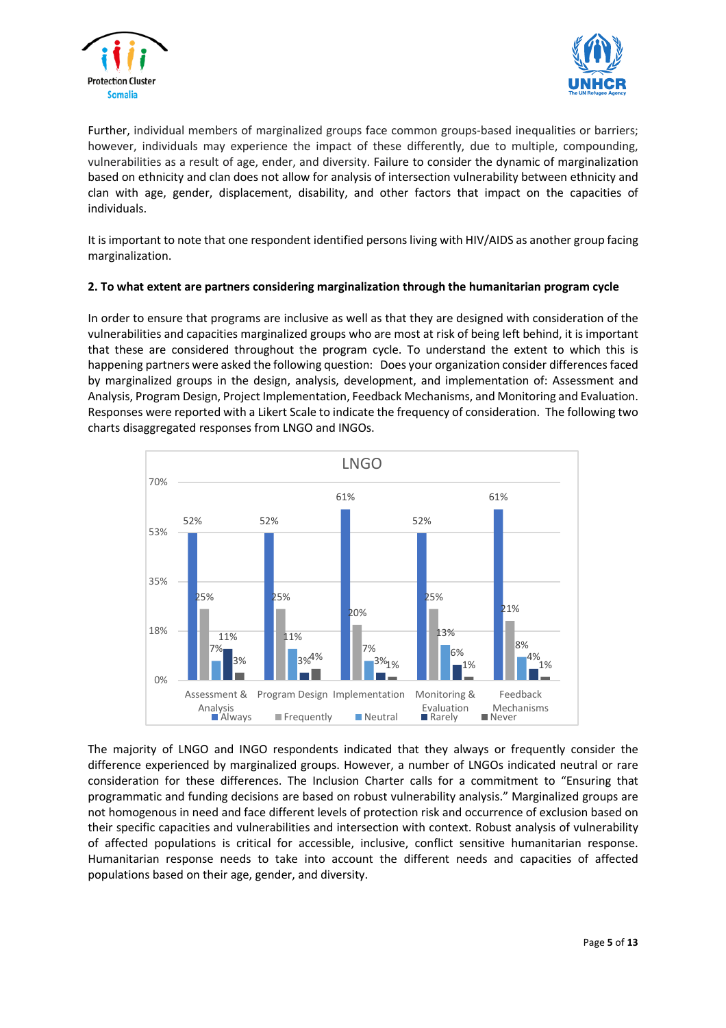



Further, individual members of marginalized groups face common groups-based inequalities or barriers; however, individuals may experience the impact of these differently, due to multiple, compounding, vulnerabilities as a result of age, ender, and diversity. Failure to consider the dynamic of marginalization based on ethnicity and clan does not allow for analysis of intersection vulnerability between ethnicity and clan with age, gender, displacement, disability, and other factors that impact on the capacities of individuals.

It is important to note that one respondent identified persons living with HIV/AIDS as another group facing marginalization.

# **2. To what extent are partners considering marginalization through the humanitarian program cycle**

In order to ensure that programs are inclusive as well as that they are designed with consideration of the vulnerabilities and capacities marginalized groups who are most at risk of being left behind, it is important that these are considered throughout the program cycle. To understand the extent to which this is happening partners were asked the following question: Does your organization consider differences faced by marginalized groups in the design, analysis, development, and implementation of: Assessment and Analysis, Program Design, Project Implementation, Feedback Mechanisms, and Monitoring and Evaluation. Responses were reported with a Likert Scale to indicate the frequency of consideration. The following two charts disaggregated responses from LNGO and INGOs.



The majority of LNGO and INGO respondents indicated that they always or frequently consider the difference experienced by marginalized groups. However, a number of LNGOs indicated neutral or rare consideration for these differences. The Inclusion Charter calls for a commitment to "Ensuring that programmatic and funding decisions are based on robust vulnerability analysis." Marginalized groups are not homogenous in need and face different levels of protection risk and occurrence of exclusion based on their specific capacities and vulnerabilities and intersection with context. Robust analysis of vulnerability of affected populations is critical for accessible, inclusive, conflict sensitive humanitarian response. Humanitarian response needs to take into account the different needs and capacities of affected populations based on their age, gender, and diversity.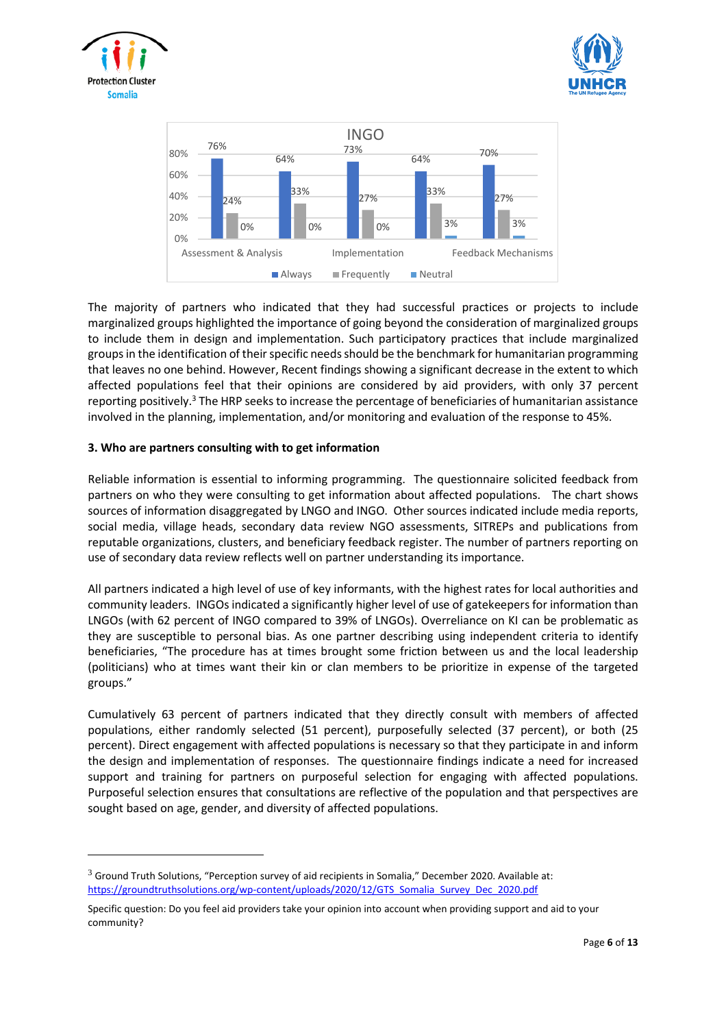





The majority of partners who indicated that they had successful practices or projects to include marginalized groups highlighted the importance of going beyond the consideration of marginalized groups to include them in design and implementation. Such participatory practices that include marginalized groups in the identification of their specific needs should be the benchmark for humanitarian programming that leaves no one behind. However, Recent findings showing a significant decrease in the extent to which affected populations feel that their opinions are considered by aid providers, with only 37 percent reporting positively.<sup>3</sup> The HRP seeks to increase the percentage of beneficiaries of humanitarian assistance involved in the planning, implementation, and/or monitoring and evaluation of the response to 45%.

# **3. Who are partners consulting with to get information**

Reliable information is essential to informing programming. The questionnaire solicited feedback from partners on who they were consulting to get information about affected populations. The chart shows sources of information disaggregated by LNGO and INGO. Other sources indicated include media reports, social media, village heads, secondary data review NGO assessments, SITREPs and publications from reputable organizations, clusters, and beneficiary feedback register. The number of partners reporting on use of secondary data review reflects well on partner understanding its importance.

All partners indicated a high level of use of key informants, with the highest rates for local authorities and community leaders. INGOs indicated a significantly higher level of use of gatekeepersfor information than LNGOs (with 62 percent of INGO compared to 39% of LNGOs). Overreliance on KI can be problematic as they are susceptible to personal bias. As one partner describing using independent criteria to identify beneficiaries, "The procedure has at times brought some friction between us and the local leadership (politicians) who at times want their kin or clan members to be prioritize in expense of the targeted groups."

Cumulatively 63 percent of partners indicated that they directly consult with members of affected populations, either randomly selected (51 percent), purposefully selected (37 percent), or both (25 percent). Direct engagement with affected populations is necessary so that they participate in and inform the design and implementation of responses. The questionnaire findings indicate a need for increased support and training for partners on purposeful selection for engaging with affected populations. Purposeful selection ensures that consultations are reflective of the population and that perspectives are sought based on age, gender, and diversity of affected populations.

 $3$  Ground Truth Solutions, "Perception survey of aid recipients in Somalia," December 2020. Available at: [https://groundtruthsolutions.org/wp-content/uploads/2020/12/GTS\\_Somalia\\_Survey\\_Dec\\_2020.pdf](https://groundtruthsolutions.org/wp-content/uploads/2020/12/GTS_Somalia_Survey_Dec_2020.pdf)

Specific question: Do you feel aid providers take your opinion into account when providing support and aid to your community?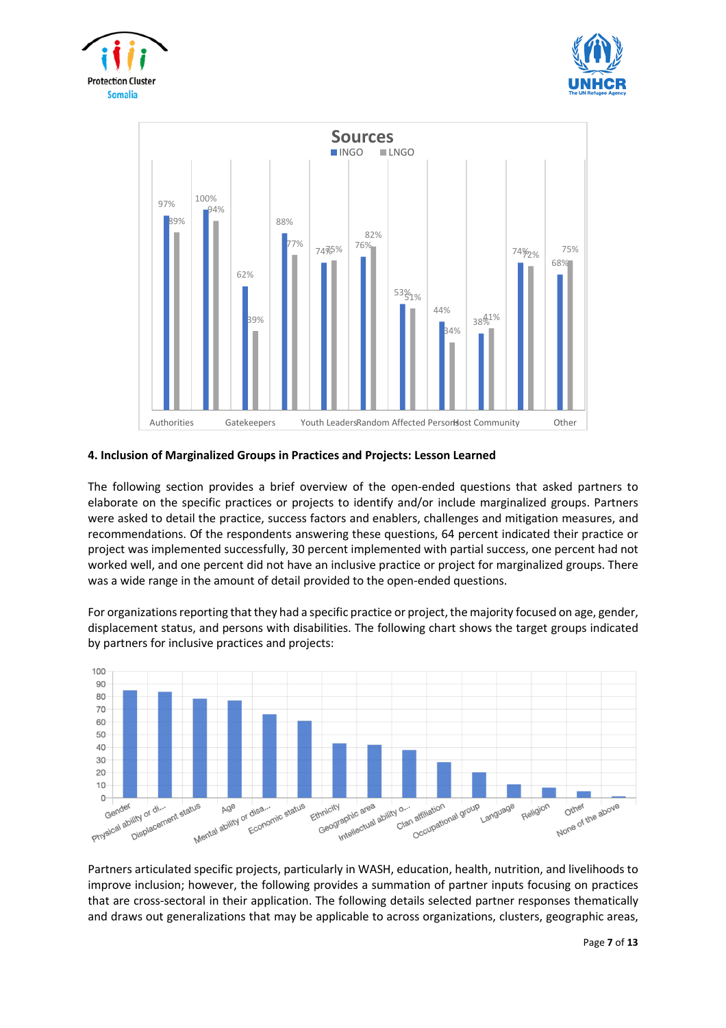





## **4. Inclusion of Marginalized Groups in Practices and Projects: Lesson Learned**

The following section provides a brief overview of the open-ended questions that asked partners to elaborate on the specific practices or projects to identify and/or include marginalized groups. Partners were asked to detail the practice, success factors and enablers, challenges and mitigation measures, and recommendations. Of the respondents answering these questions, 64 percent indicated their practice or project was implemented successfully, 30 percent implemented with partial success, one percent had not worked well, and one percent did not have an inclusive practice or project for marginalized groups. There was a wide range in the amount of detail provided to the open-ended questions.

For organizations reporting that they had a specific practice or project, the majority focused on age, gender, displacement status, and persons with disabilities. The following chart shows the target groups indicated by partners for inclusive practices and projects:



Partners articulated specific projects, particularly in WASH, education, health, nutrition, and livelihoods to improve inclusion; however, the following provides a summation of partner inputs focusing on practices that are cross-sectoral in their application. The following details selected partner responses thematically and draws out generalizations that may be applicable to across organizations, clusters, geographic areas,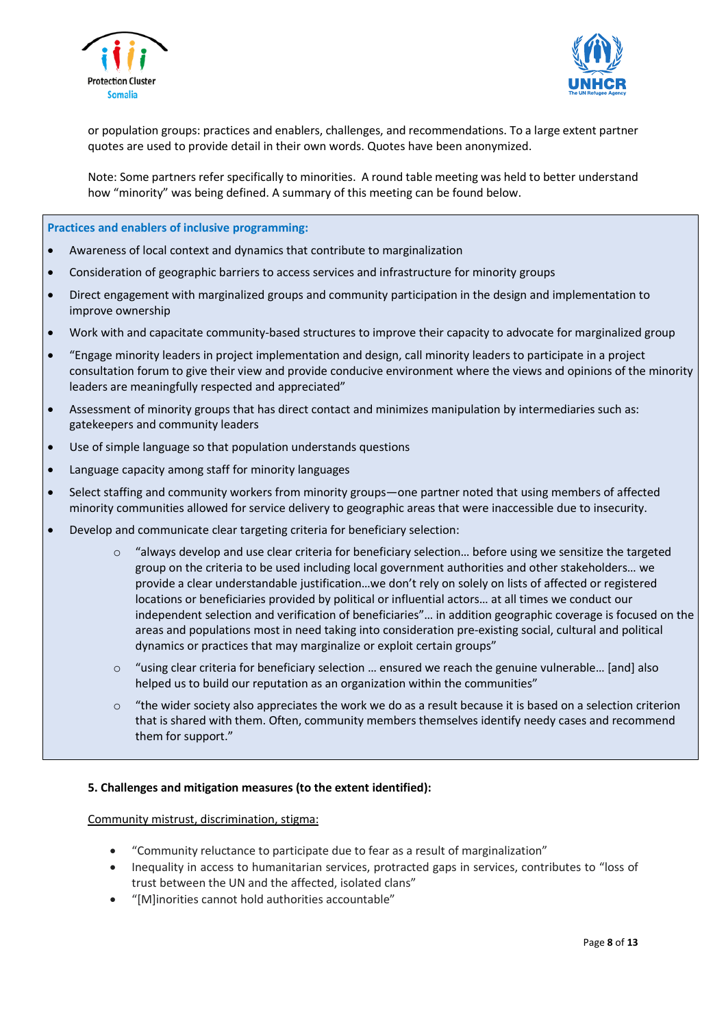



or population groups: practices and enablers, challenges, and recommendations. To a large extent partner quotes are used to provide detail in their own words. Quotes have been anonymized.

Note: Some partners refer specifically to minorities. A round table meeting was held to better understand how "minority" was being defined. A summary of this meeting can be found below.

**Practices and enablers of inclusive programming:**

- Awareness of local context and dynamics that contribute to marginalization
- Consideration of geographic barriers to access services and infrastructure for minority groups
- Direct engagement with marginalized groups and community participation in the design and implementation to improve ownership
- Work with and capacitate community-based structures to improve their capacity to advocate for marginalized group
- "Engage minority leaders in project implementation and design, call minority leaders to participate in a project consultation forum to give their view and provide conducive environment where the views and opinions of the minority leaders are meaningfully respected and appreciated"
- Assessment of minority groups that has direct contact and minimizes manipulation by intermediaries such as: gatekeepers and community leaders
- Use of simple language so that population understands questions
- Language capacity among staff for minority languages
- Select staffing and community workers from minority groups—one partner noted that using members of affected minority communities allowed for service delivery to geographic areas that were inaccessible due to insecurity.
- Develop and communicate clear targeting criteria for beneficiary selection:
	- o "always develop and use clear criteria for beneficiary selection… before using we sensitize the targeted group on the criteria to be used including local government authorities and other stakeholders… we provide a clear understandable justification…we don't rely on solely on lists of affected or registered locations or beneficiaries provided by political or influential actors… at all times we conduct our independent selection and verification of beneficiaries"… in addition geographic coverage is focused on the areas and populations most in need taking into consideration pre-existing social, cultural and political dynamics or practices that may marginalize or exploit certain groups"
	- $\circ$  "using clear criteria for beneficiary selection ... ensured we reach the genuine vulnerable... [and] also helped us to build our reputation as an organization within the communities"
	- $\circ$  "the wider society also appreciates the work we do as a result because it is based on a selection criterion that is shared with them. Often, community members themselves identify needy cases and recommend them for support."

## **5. Challenges and mitigation measures (to the extent identified):**

## Community mistrust, discrimination, stigma:

- "Community reluctance to participate due to fear as a result of marginalization"
- Inequality in access to humanitarian services, protracted gaps in services, contributes to "loss of trust between the UN and the affected, isolated clans"
- "[M]inorities cannot hold authorities accountable"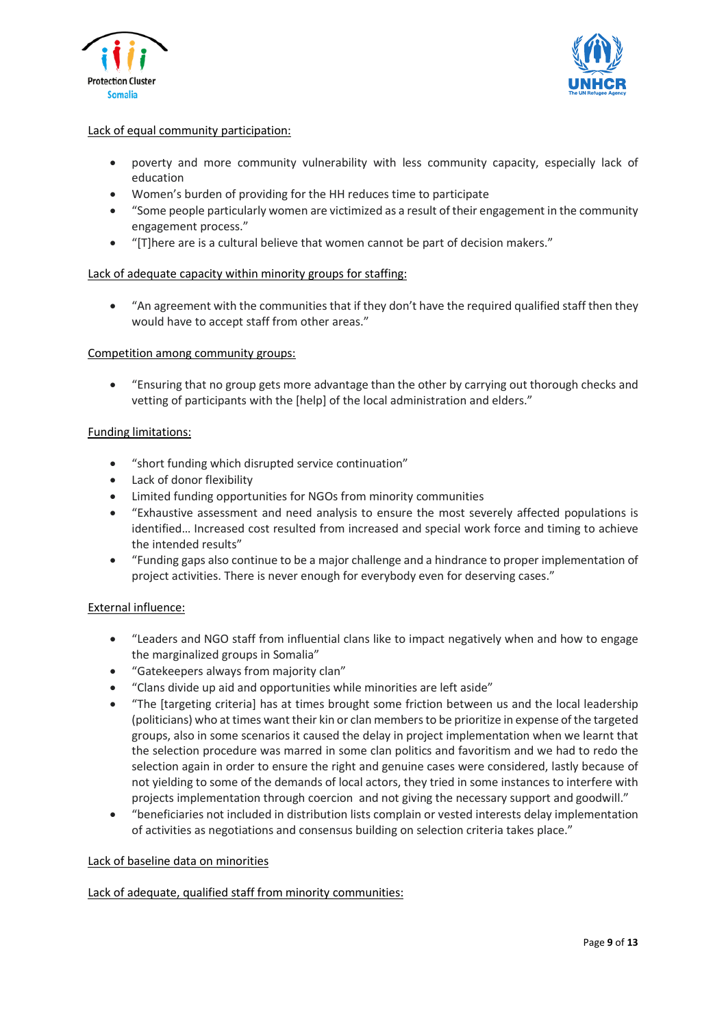



# Lack of equal community participation:

- poverty and more community vulnerability with less community capacity, especially lack of education
- Women's burden of providing for the HH reduces time to participate
- "Some people particularly women are victimized as a result of their engagement in the community engagement process."
- "[T]here are is a cultural believe that women cannot be part of decision makers."

# Lack of adequate capacity within minority groups for staffing:

• "An agreement with the communities that if they don't have the required qualified staff then they would have to accept staff from other areas."

## Competition among community groups:

• "Ensuring that no group gets more advantage than the other by carrying out thorough checks and vetting of participants with the [help] of the local administration and elders."

## Funding limitations:

- "short funding which disrupted service continuation"
- Lack of donor flexibility
- Limited funding opportunities for NGOs from minority communities
- "Exhaustive assessment and need analysis to ensure the most severely affected populations is identified… Increased cost resulted from increased and special work force and timing to achieve the intended results"
- "Funding gaps also continue to be a major challenge and a hindrance to proper implementation of project activities. There is never enough for everybody even for deserving cases."

# External influence:

- "Leaders and NGO staff from influential clans like to impact negatively when and how to engage the marginalized groups in Somalia"
- "Gatekeepers always from majority clan"
- "Clans divide up aid and opportunities while minorities are left aside"
- "The [targeting criteria] has at times brought some friction between us and the local leadership (politicians) who at times want their kin or clan membersto be prioritize in expense of the targeted groups, also in some scenarios it caused the delay in project implementation when we learnt that the selection procedure was marred in some clan politics and favoritism and we had to redo the selection again in order to ensure the right and genuine cases were considered, lastly because of not yielding to some of the demands of local actors, they tried in some instances to interfere with projects implementation through coercion and not giving the necessary support and goodwill."
- "beneficiaries not included in distribution lists complain or vested interests delay implementation of activities as negotiations and consensus building on selection criteria takes place."

## Lack of baseline data on minorities

Lack of adequate, qualified staff from minority communities: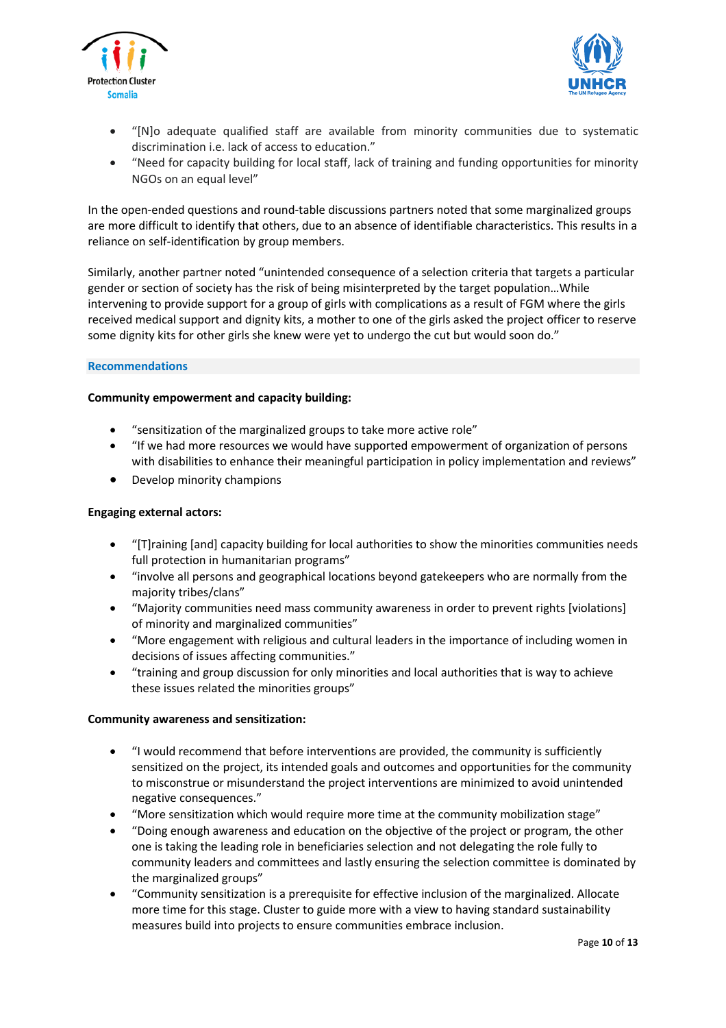



- "[N]o adequate qualified staff are available from minority communities due to systematic discrimination i.e. lack of access to education."
- "Need for capacity building for local staff, lack of training and funding opportunities for minority NGOs on an equal level"

In the open-ended questions and round-table discussions partners noted that some marginalized groups are more difficult to identify that others, due to an absence of identifiable characteristics. This results in a reliance on self-identification by group members.

Similarly, another partner noted "unintended consequence of a selection criteria that targets a particular gender or section of society has the risk of being misinterpreted by the target population…While intervening to provide support for a group of girls with complications as a result of FGM where the girls received medical support and dignity kits, a mother to one of the girls asked the project officer to reserve some dignity kits for other girls she knew were yet to undergo the cut but would soon do."

## **Recommendations**

## **Community empowerment and capacity building:**

- "sensitization of the marginalized groups to take more active role"
- "If we had more resources we would have supported empowerment of organization of persons with disabilities to enhance their meaningful participation in policy implementation and reviews"
- Develop minority champions

## **Engaging external actors:**

- "[T]raining [and] capacity building for local authorities to show the minorities communities needs full protection in humanitarian programs"
- "involve all persons and geographical locations beyond gatekeepers who are normally from the majority tribes/clans"
- "Majority communities need mass community awareness in order to prevent rights [violations] of minority and marginalized communities"
- "More engagement with religious and cultural leaders in the importance of including women in decisions of issues affecting communities."
- "training and group discussion for only minorities and local authorities that is way to achieve these issues related the minorities groups"

## **Community awareness and sensitization:**

- "I would recommend that before interventions are provided, the community is sufficiently sensitized on the project, its intended goals and outcomes and opportunities for the community to misconstrue or misunderstand the project interventions are minimized to avoid unintended negative consequences."
- "More sensitization which would require more time at the community mobilization stage"
- "Doing enough awareness and education on the objective of the project or program, the other one is taking the leading role in beneficiaries selection and not delegating the role fully to community leaders and committees and lastly ensuring the selection committee is dominated by the marginalized groups"
- "Community sensitization is a prerequisite for effective inclusion of the marginalized. Allocate more time for this stage. Cluster to guide more with a view to having standard sustainability measures build into projects to ensure communities embrace inclusion.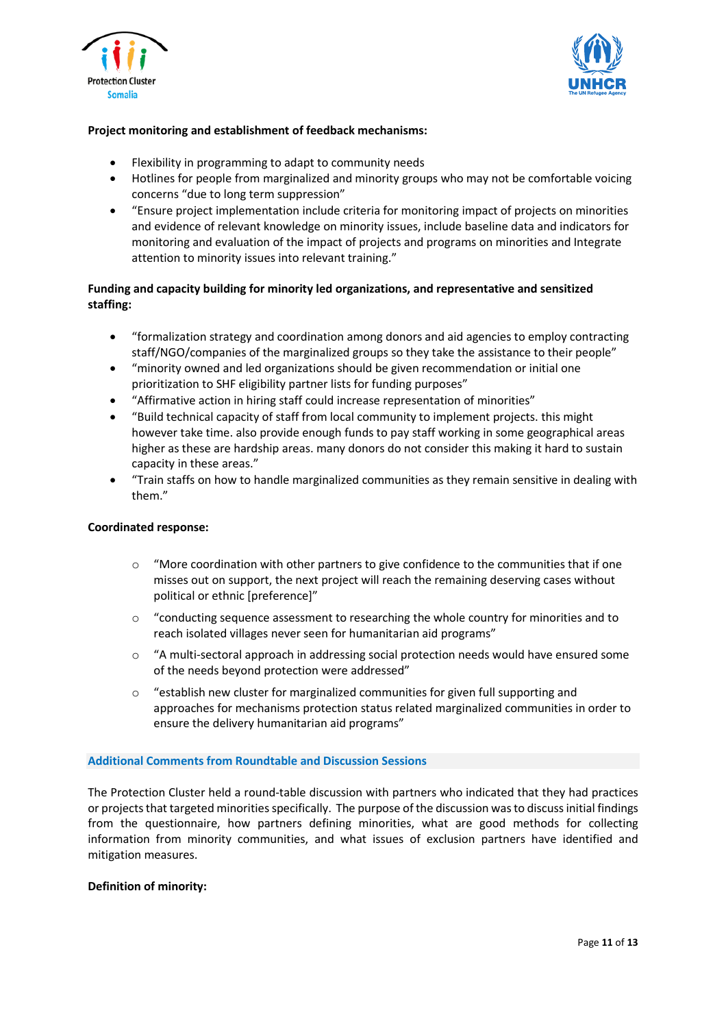



## **Project monitoring and establishment of feedback mechanisms:**

- Flexibility in programming to adapt to community needs
- Hotlines for people from marginalized and minority groups who may not be comfortable voicing concerns "due to long term suppression"
- "Ensure project implementation include criteria for monitoring impact of projects on minorities and evidence of relevant knowledge on minority issues, include baseline data and indicators for monitoring and evaluation of the impact of projects and programs on minorities and Integrate attention to minority issues into relevant training."

# **Funding and capacity building for minority led organizations, and representative and sensitized staffing:**

- "formalization strategy and coordination among donors and aid agencies to employ contracting staff/NGO/companies of the marginalized groups so they take the assistance to their people"
- "minority owned and led organizations should be given recommendation or initial one prioritization to SHF eligibility partner lists for funding purposes"
- "Affirmative action in hiring staff could increase representation of minorities"
- "Build technical capacity of staff from local community to implement projects. this might however take time. also provide enough funds to pay staff working in some geographical areas higher as these are hardship areas. many donors do not consider this making it hard to sustain capacity in these areas."
- "Train staffs on how to handle marginalized communities as they remain sensitive in dealing with them."

## **Coordinated response:**

- $\circ$  "More coordination with other partners to give confidence to the communities that if one misses out on support, the next project will reach the remaining deserving cases without political or ethnic [preference]"
- o "conducting sequence assessment to researching the whole country for minorities and to reach isolated villages never seen for humanitarian aid programs"
- o "A multi-sectoral approach in addressing social protection needs would have ensured some of the needs beyond protection were addressed"
- $\circ$  "establish new cluster for marginalized communities for given full supporting and approaches for mechanisms protection status related marginalized communities in order to ensure the delivery humanitarian aid programs"

## **Additional Comments from Roundtable and Discussion Sessions**

The Protection Cluster held a round-table discussion with partners who indicated that they had practices or projects that targeted minorities specifically. The purpose of the discussion was to discuss initial findings from the questionnaire, how partners defining minorities, what are good methods for collecting information from minority communities, and what issues of exclusion partners have identified and mitigation measures.

## **Definition of minority:**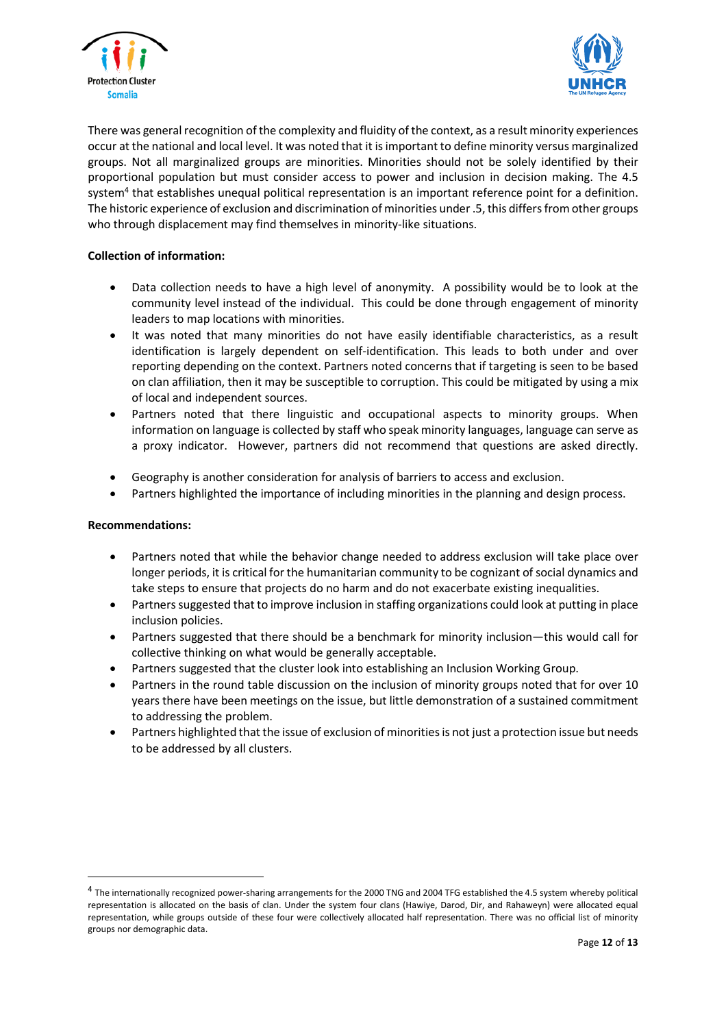



There was general recognition of the complexity and fluidity of the context, as a result minority experiences occur at the national and local level. It was noted that it isimportant to define minority versus marginalized groups. Not all marginalized groups are minorities. Minorities should not be solely identified by their proportional population but must consider access to power and inclusion in decision making. The 4.5 system<sup>4</sup> that establishes unequal political representation is an important reference point for a definition. The historic experience of exclusion and discrimination of minorities under .5, this differs from other groups who through displacement may find themselves in minority-like situations.

# **Collection of information:**

- Data collection needs to have a high level of anonymity. A possibility would be to look at the community level instead of the individual. This could be done through engagement of minority leaders to map locations with minorities.
- It was noted that many minorities do not have easily identifiable characteristics, as a result identification is largely dependent on self-identification. This leads to both under and over reporting depending on the context. Partners noted concerns that if targeting is seen to be based on clan affiliation, then it may be susceptible to corruption. This could be mitigated by using a mix of local and independent sources.
- Partners noted that there linguistic and occupational aspects to minority groups. When information on language is collected by staff who speak minority languages, language can serve as a proxy indicator. However, partners did not recommend that questions are asked directly.
- Geography is another consideration for analysis of barriers to access and exclusion.
- Partners highlighted the importance of including minorities in the planning and design process.

# **Recommendations:**

- Partners noted that while the behavior change needed to address exclusion will take place over longer periods, it is critical for the humanitarian community to be cognizant of social dynamics and take steps to ensure that projects do no harm and do not exacerbate existing inequalities.
- Partners suggested that to improve inclusion in staffing organizations could look at putting in place inclusion policies.
- Partners suggested that there should be a benchmark for minority inclusion—this would call for collective thinking on what would be generally acceptable.
- Partners suggested that the cluster look into establishing an Inclusion Working Group.
- Partners in the round table discussion on the inclusion of minority groups noted that for over 10 years there have been meetings on the issue, but little demonstration of a sustained commitment to addressing the problem.
- Partners highlighted that the issue of exclusion of minorities is not just a protection issue but needs to be addressed by all clusters.

<sup>&</sup>lt;sup>4</sup> The internationally recognized power-sharing arrangements for the 2000 TNG and 2004 TFG established the 4.5 system whereby political representation is allocated on the basis of clan. Under the system four clans (Hawiye, Darod, Dir, and Rahaweyn) were allocated equal representation, while groups outside of these four were collectively allocated half representation. There was no official list of minority groups nor demographic data.